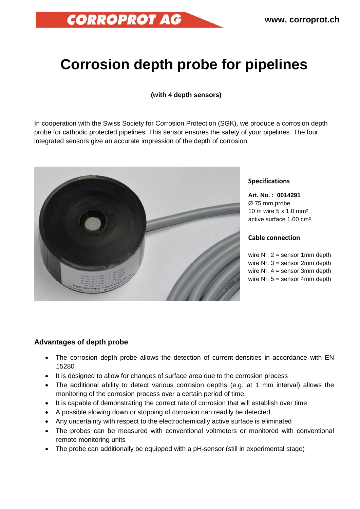# **Corrosion depth probe for pipelines**

## **(with 4 depth sensors)**

In cooperation with the Swiss Society for Corrosion Protection (SGK), we produce a corrosion depth probe for cathodic protected pipelines. This sensor ensures the safety of your pipelines. The four integrated sensors give an accurate impression of the depth of corrosion.



**CORROPROT AG** 

#### **Specifications**

**Art. No. : 0014291** Ø 75 mm probe 10 m wire 5 x 1.0 mm² active surface 1.00 cm²

### **Cable connection**

wire Nr.  $2 =$  sensor 1mm depth wire Nr. 3 = sensor 2mm depth wire Nr. 4 = sensor 3mm depth wire Nr.  $5 =$  sensor 4mm depth

## **Advantages of depth probe**

- The corrosion depth probe allows the detection of current-densities in accordance with EN 15280
- It is designed to allow for changes of surface area due to the corrosion process
- The additional ability to detect various corrosion depths (e.g. at 1 mm interval) allows the monitoring of the corrosion process over a certain period of time.
- It is capable of demonstrating the correct rate of corrosion that will establish over time
- A possible slowing down or stopping of corrosion can readily be detected
- Any uncertainty with respect to the electrochemically active surface is eliminated
- The probes can be measured with conventional voltmeters or monitored with conventional remote monitoring units
- The probe can additionally be equipped with a pH-sensor (still in experimental stage)